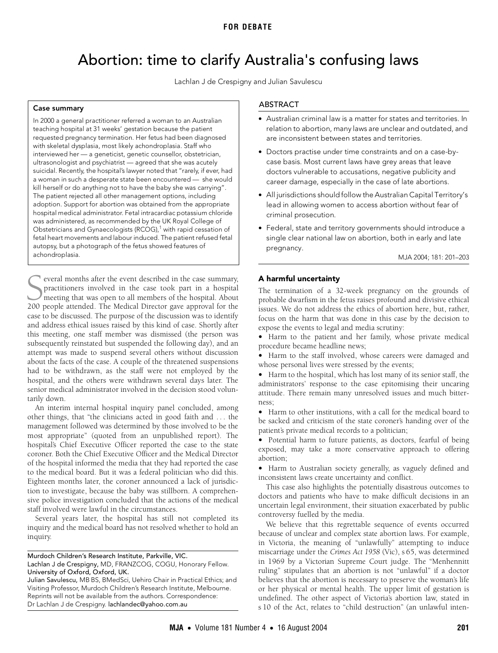# <span id="page-0-0"></span>Abortion: time to clarify Australia's confusing laws

Lachlan J de Crespigny and Julian Savulescu

## Case summary

kill herself or do anything not to have the baby she was carrying".<br>T The patient rejected an other management options, including<br>adoption. Support for abortion was obtained from the appropriate phon. Support for abortion was obtained from t<br>The Medical Australia 2004 www.mja.com.au hospital medical administrator. Fetal intracardiac potassium chloride was administered, as recommended by the UK Royal College of In 2000 a general practitioner referred a woman to an Australian teaching hospital at 31 weeks' gestation because the patient requested pregnancy termination. Her fetus had been diagnosed with skeletal dysplasia, most likely achondroplasia. Staff who interviewed her — a geneticist, genetic counsellor, obstetrician, ultrasonologist and psychiatrist — agreed that she was acutely suicidal. Recently, the hospital's lawyer noted that "rarely, if ever, had a woman in such a desperate state been encountered — she would The patient rejected all other management options, including Obstetricians and Gynaecologists (RCOG), $1$  with rapid cessation of fetal heart movements and labour induced. The patient refused fetal autopsy, but a photograph of the fetus showed features of achondroplasia.

everal months after the event described in the case summary, practitioners involved in the case took part in a hospital meeting that was open to all members of the hospital. About Several months after the event described in the case summary, practitioners involved in the case took part in a hospital meeting that was open to all members of the hospital. About 200 people attended. The Medical Director case to be discussed. The purpose of the discussion was to identify and address ethical issues raised by this kind of case. Shortly after this meeting, one staff member was dismissed (the person was subsequently reinstated but suspended the following day), and an attempt was made to suspend several others without discussion about the facts of the case. A couple of the threatened suspensions had to be withdrawn, as the staff were not employed by the hospital, and the others were withdrawn several days later. The senior medical administrator involved in the decision stood voluntarily down.

An interim internal hospital inquiry panel concluded, among other things, that "the clinicians acted in good faith and . . . the management followed was determined by those involved to be the most appropriate" (quoted from an unpublished report). The hospital's Chief Executive Officer reported the case to the state coroner. Both the Chief Executive Officer and the Medical Director of the hospital informed the media that they had reported the case to the medical board. But it was a federal politician who did this. Eighteen months later, the coroner announced a lack of jurisdiction to investigate, because the baby was stillborn. A comprehensive police investigation concluded that the actions of the medical staff involved were lawful in the circumstances.

Several years later, the hospital has still not completed its inquiry and the medical board has not resolved whether to hold an inquiry.

Murdoch Children's Research Institute, Parkville, VIC.

Julian Savulescu, MB BS, BMedSci, Uehiro Chair in Practical Ethics; and Visiting Professor, Murdoch Children's Research Institute, Melbourne. Reprints will not be available from the authors. Correspondence: Dr Lachlan J de Crespigny. lachlandec@yahoo.com.au

# ABSTRACT

- Australian criminal law is a matter for states and territories. In relation to abortion, many laws are unclear and outdated, and are inconsistent between states and territories.
- Doctors practise under time constraints and on a case-bycase basis. Most current laws have grey areas that leave doctors vulnerable to accusations, negative publicity and career damage, especially in the case of late abortions.
- All jurisdictions should follow the Australian Capital Territory's lead in allowing women to access abortion without fear of criminal prosecution.
- Federal, state and territory governments should introduce a single clear national law on abortion, both in early and late pregnancy.

MJA 2004; 181: 201–203

### A harmful uncertainty

The termination of a 32-week pregnancy on the grounds of probable dwarfism in the fetus raises profound and divisive ethical issues. We do not address the ethics of abortion here, but, rather, focus on the harm that was done in this case by the decision to expose the events to legal and media scrutiny:

• Harm to the patient and her family, whose private medical procedure became headline news;

• Harm to the staff involved, whose careers were damaged and whose personal lives were stressed by the events;

• Harm to the hospital, which has lost many of its senior staff, the administrators' response to the case epitomising their uncaring attitude. There remain many unresolved issues and much bitterness;

• Harm to other institutions, with a call for the medical board to be sacked and criticism of the state coroner's handing over of the patient's private medical records to a politician;

• Potential harm to future patients, as doctors, fearful of being exposed, may take a more conservative approach to offering abortion;

• Harm to Australian society generally, as vaguely defined and inconsistent laws create uncertainty and conflict.

This case also highlights the potentially disastrous outcomes to doctors and patients who have to make difficult decisions in an uncertain legal environment, their situation exacerbated by public controversy fuelled by the media.

We believe that this regrettable sequence of events occurred because of unclear and complex state abortion laws. For example, in Victoria, the meaning of "unlawfully" attempting to induce miscarriage under the *Crimes Act 1958* (Vic), s 65, was determined in 1969 by a Victorian Supreme Court judge. The "Menhennitt ruling" stipulates that an abortion is not "unlawful" if a doctor believes that the abortion is necessary to preserve the woman's life or her physical or mental health. The upper limit of gestation is undefined. The other aspect of Victoria's abortion law, stated in s 10 of the Act, relates to "child destruction" (an unlawful inten-

Lachlan J de Crespigny, MD, FRANZCOG, COGU, Honorary Fellow. University of Oxford, Oxford, UK.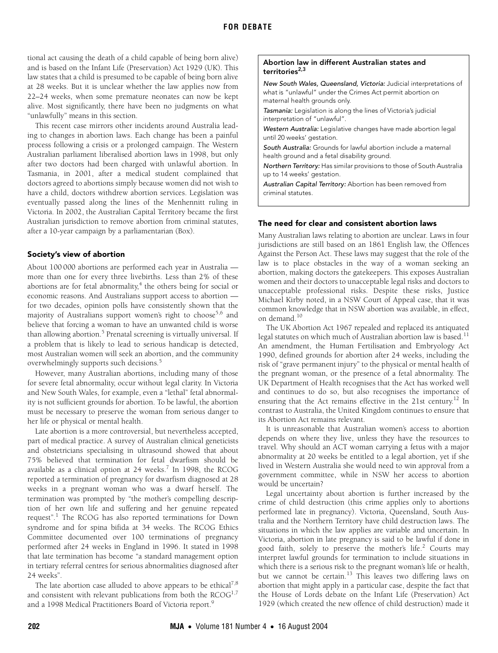tional act causing the death of a child capable of being born alive) and is based on the Infant Life (Preservation) Act 1929 (UK). This law states that a child is presumed to be capable of being born alive at 28 weeks. But it is unclear whether the law applies now from 22–24 weeks, when some premature neonates can now be kept alive. Most significantly, there have been no judgments on what "unlawfully" means in this section.

This recent case mirrors other incidents around Australia leading to changes in abortion laws. Each change has been a painful process following a crisis or a prolonged campaign. The Western Australian parliament liberalised abortion laws in 1998, but only after two doctors had been charged with unlawful abortion. In Tasmania, in 2001, after a medical student complained that doctors agreed to abortions simply because women did not wish to have a child, doctors withdrew abortion services. Legislation was eventually passed along the lines of the Menhennitt ruling in Victoria. In 2002, the Australian Capital Territory became the first Australian jurisdiction to remove abortion from criminal statutes, after a 10-year campaign by a parliamentarian (Box).

### Society's view of abortion

About 100 000 abortions are performed each year in Australia more than one for every three livebirths. Less than 2% of these abortions are for fetal abnormality,<sup>[4](#page-2-4)</sup> the others being for social or economic reasons. And Australians support access to abortion for two decades, opinion polls have consistently shown that the majority of Australians support women's right to choose<sup>[5](#page-2-5)[,6](#page-2-6)</sup> and believe that forcing a woman to have an unwanted child is worse than allowing abortion.<sup>5</sup> Prenatal screening is virtually universal. If a problem that is likely to lead to serious handicap is detected, most Australian women will seek an abortion, and the community overwhelmingly supports such decisions.<sup>[5](#page-2-5)</sup>

However, many Australian abortions, including many of those for severe fetal abnormality, occur without legal clarity. In Victoria and New South Wales, for example, even a "lethal" fetal abnormality is not sufficient grounds for abortion. To be lawful, the abortion must be necessary to preserve the woman from serious danger to her life or physical or mental health.

Late abortion is a more controversial, but nevertheless accepted, part of medical practice. A survey of Australian clinical geneticists and obstetricians specialising in ultrasound showed that about 75% believed that termination for fetal dwarfism should be available as a clinical option at  $24$  weeks.<sup>[7](#page-2-7)</sup> In 1998, the RCOG reported a termination of pregnancy for dwarfism diagnosed at 28 weeks in a pregnant woman who was a dwarf herself. The termination was prompted by "the mother's compelling description of her own life and suffering and her genuine repeated request".<sup>[1](#page-2-0)</sup> The RCOG has also reported terminations for Down syndrome and for spina bifida at 34 weeks. The RCOG Ethics Committee documented over 100 terminations of pregnancy performed after 24 weeks in England in 1996. It stated in 1998 that late termination has become "a standard management option in tertiary referral centres for serious abnormalities diagnosed after 24 weeks".

The late abortion case alluded to above appears to be ethical<sup>7,[8](#page-2-8)</sup> and consistent with relevant publications from both the  $RCOG^{1,7}$  $RCOG^{1,7}$  $RCOG^{1,7}$  $RCOG^{1,7}$ and a 1[9](#page-2-9)98 Medical Practitioners Board of Victoria report.<sup>9</sup>

#### Abortion law in different Australian states and territories $^{2,3}$  $^{2,3}$  $^{2,3}$  $^{2,3}$

New South Wales, Queensland, Victoria: Judicial interpretations of what is "unlawful" under the Crimes Act permit abortion on maternal health grounds only.

Tasmania: Legislation is along the lines of Victoria's judicial interpretation of "unlawful".

Western Australia: Legislative changes have made abortion legal until 20 weeks' gestation.

South Australia: Grounds for lawful abortion include a maternal health ground and a fetal disability ground.

Northern Territory: Has similar provisions to those of South Australia up to 14 weeks' gestation.

Australian Capital Territory: Abortion has been removed from criminal statutes.

## The need for clear and consistent abortion laws

Many Australian laws relating to abortion are unclear. Laws in four jurisdictions are still based on an 1861 English law, the Offences Against the Person Act. These laws may suggest that the role of the law is to place obstacles in the way of a woman seeking an abortion, making doctors the gatekeepers. This exposes Australian women and their doctors to unacceptable legal risks and doctors to unacceptable professional risks. Despite these risks, Justice Michael Kirby noted, in a NSW Court of Appeal case, that it was common knowledge that in NSW abortion was available, in effect, on demand.[10](#page-2-10)

The UK Abortion Act 1967 repealed and replaced its antiquated legal statutes on which much of Australian abortion law is based.<sup>[11](#page-2-11)</sup> An amendment, the Human Fertilisation and Embryology Act 1990, defined grounds for abortion after 24 weeks, including the risk of "grave permanent injury" to the physical or mental health of the pregnant woman, or the presence of a fetal abnormality. The UK Department of Health recognises that the Act has worked well and continues to do so, but also recognises the importance of ensuring that the Act remains effective in the 21st century.<sup>12</sup> In contrast to Australia, the United Kingdom continues to ensure that its Abortion Act remains relevant.

It is unreasonable that Australian women's access to abortion depends on where they live, unless they have the resources to travel. Why should an ACT woman carrying a fetus with a major abnormality at 20 weeks be entitled to a legal abortion, yet if she lived in Western Australia she would need to win approval from a government committee, while in NSW her access to abortion would be uncertain?

Legal uncertainty about abortion is further increased by the crime of child destruction (this crime applies only to abortions performed late in pregnancy). Victoria, Queensland, South Australia and the Northern Territory have child destruction laws. The situations in which the law applies are variable and uncertain. In Victoria, abortion in late pregnancy is said to be lawful if done in good faith, solely to preserve the mother's life.<sup>[2](#page-2-2)</sup> Courts may interpret lawful grounds for termination to include situations in which there is a serious risk to the pregnant woman's life or health, but we cannot be certain.<sup>[13](#page-2-13)</sup> This leaves two differing laws on abortion that might apply in a particular case, despite the fact that the House of Lords debate on the Infant Life (Preservation) Act 1929 (which created the new offence of child destruction) made it